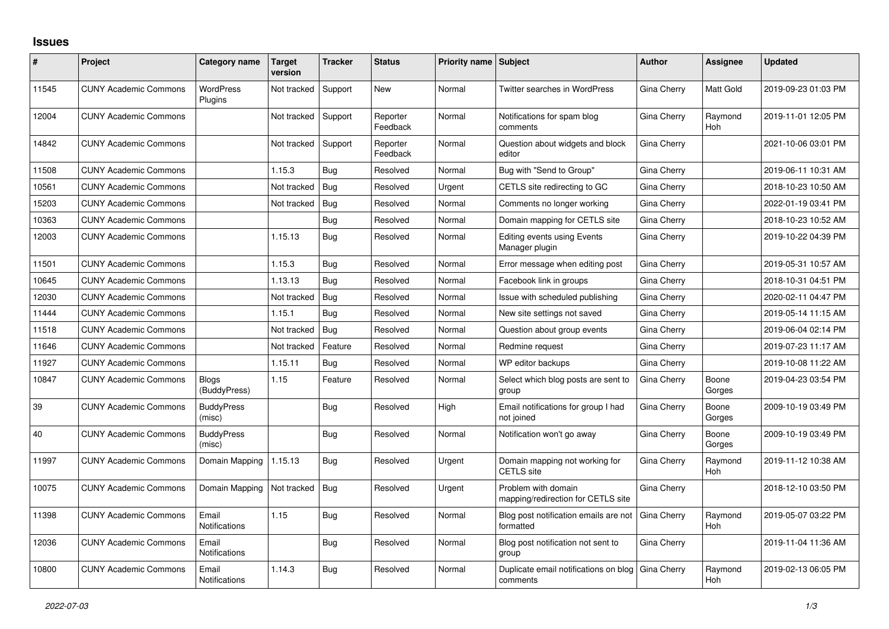## **Issues**

| #     | Project                      | <b>Category name</b>          | <b>Target</b><br>version | <b>Tracker</b> | <b>Status</b>        | <b>Priority name Subject</b> |                                                           | <b>Author</b>      | <b>Assignee</b> | <b>Updated</b>      |
|-------|------------------------------|-------------------------------|--------------------------|----------------|----------------------|------------------------------|-----------------------------------------------------------|--------------------|-----------------|---------------------|
| 11545 | <b>CUNY Academic Commons</b> | <b>WordPress</b><br>Plugins   | Not tracked              | Support        | <b>New</b>           | Normal                       | Twitter searches in WordPress                             | Gina Cherry        | Matt Gold       | 2019-09-23 01:03 PM |
| 12004 | <b>CUNY Academic Commons</b> |                               | Not tracked              | Support        | Reporter<br>Feedback | Normal                       | Notifications for spam blog<br>comments                   | Gina Cherry        | Raymond<br>Hoh  | 2019-11-01 12:05 PM |
| 14842 | <b>CUNY Academic Commons</b> |                               | Not tracked              | Support        | Reporter<br>Feedback | Normal                       | Question about widgets and block<br>editor                | Gina Cherry        |                 | 2021-10-06 03:01 PM |
| 11508 | <b>CUNY Academic Commons</b> |                               | 1.15.3                   | Bug            | Resolved             | Normal                       | Bug with "Send to Group"                                  | Gina Cherry        |                 | 2019-06-11 10:31 AM |
| 10561 | <b>CUNY Academic Commons</b> |                               | Not tracked              | Bug            | Resolved             | Urgent                       | CETLS site redirecting to GC                              | Gina Cherry        |                 | 2018-10-23 10:50 AM |
| 15203 | <b>CUNY Academic Commons</b> |                               | Not tracked              | Bug            | Resolved             | Normal                       | Comments no longer working                                | Gina Cherry        |                 | 2022-01-19 03:41 PM |
| 10363 | <b>CUNY Academic Commons</b> |                               |                          | Bug            | Resolved             | Normal                       | Domain mapping for CETLS site                             | <b>Gina Cherry</b> |                 | 2018-10-23 10:52 AM |
| 12003 | <b>CUNY Academic Commons</b> |                               | 1.15.13                  | Bug            | Resolved             | Normal                       | Editing events using Events<br>Manager plugin             | Gina Cherry        |                 | 2019-10-22 04:39 PM |
| 11501 | <b>CUNY Academic Commons</b> |                               | 1.15.3                   | Bug            | Resolved             | Normal                       | Error message when editing post                           | Gina Cherry        |                 | 2019-05-31 10:57 AM |
| 10645 | <b>CUNY Academic Commons</b> |                               | 1.13.13                  | Bug            | Resolved             | Normal                       | Facebook link in groups                                   | Gina Cherry        |                 | 2018-10-31 04:51 PM |
| 12030 | <b>CUNY Academic Commons</b> |                               | Not tracked              | Bug            | Resolved             | Normal                       | Issue with scheduled publishing                           | <b>Gina Cherry</b> |                 | 2020-02-11 04:47 PM |
| 11444 | <b>CUNY Academic Commons</b> |                               | 1.15.1                   | Bug            | Resolved             | Normal                       | New site settings not saved                               | Gina Cherry        |                 | 2019-05-14 11:15 AM |
| 11518 | <b>CUNY Academic Commons</b> |                               | Not tracked              | <b>Bug</b>     | Resolved             | Normal                       | Question about group events                               | Gina Cherry        |                 | 2019-06-04 02:14 PM |
| 11646 | <b>CUNY Academic Commons</b> |                               | Not tracked              | Feature        | Resolved             | Normal                       | Redmine request                                           | Gina Cherry        |                 | 2019-07-23 11:17 AM |
| 11927 | <b>CUNY Academic Commons</b> |                               | 1.15.11                  | Bug            | Resolved             | Normal                       | WP editor backups                                         | Gina Cherry        |                 | 2019-10-08 11:22 AM |
| 10847 | <b>CUNY Academic Commons</b> | <b>Blogs</b><br>(BuddyPress)  | 1.15                     | Feature        | Resolved             | Normal                       | Select which blog posts are sent to<br>group              | Gina Cherry        | Boone<br>Gorges | 2019-04-23 03:54 PM |
| 39    | <b>CUNY Academic Commons</b> | <b>BuddyPress</b><br>(misc)   |                          | Bug            | Resolved             | High                         | Email notifications for group I had<br>not joined         | Gina Cherry        | Boone<br>Gorges | 2009-10-19 03:49 PM |
| 40    | <b>CUNY Academic Commons</b> | <b>BuddyPress</b><br>(misc)   |                          | <b>Bug</b>     | Resolved             | Normal                       | Notification won't go away                                | Gina Cherry        | Boone<br>Gorges | 2009-10-19 03:49 PM |
| 11997 | <b>CUNY Academic Commons</b> | Domain Mapping                | 1.15.13                  | Bug            | Resolved             | Urgent                       | Domain mapping not working for<br><b>CETLS</b> site       | Gina Cherry        | Raymond<br>Hoh  | 2019-11-12 10:38 AM |
| 10075 | <b>CUNY Academic Commons</b> | Domain Mapping                | Not tracked              | Bug            | Resolved             | Urgent                       | Problem with domain<br>mapping/redirection for CETLS site | Gina Cherry        |                 | 2018-12-10 03:50 PM |
| 11398 | <b>CUNY Academic Commons</b> | Email<br><b>Notifications</b> | 1.15                     | Bug            | Resolved             | Normal                       | Blog post notification emails are not<br>formatted        | <b>Gina Cherry</b> | Raymond<br>Hoh  | 2019-05-07 03:22 PM |
| 12036 | <b>CUNY Academic Commons</b> | Email<br><b>Notifications</b> |                          | <b>Bug</b>     | Resolved             | Normal                       | Blog post notification not sent to<br>group               | Gina Cherry        |                 | 2019-11-04 11:36 AM |
| 10800 | <b>CUNY Academic Commons</b> | Email<br>Notifications        | 1.14.3                   | Bug            | Resolved             | Normal                       | Duplicate email notifications on blog<br>comments         | Gina Cherry        | Raymond<br>Hoh  | 2019-02-13 06:05 PM |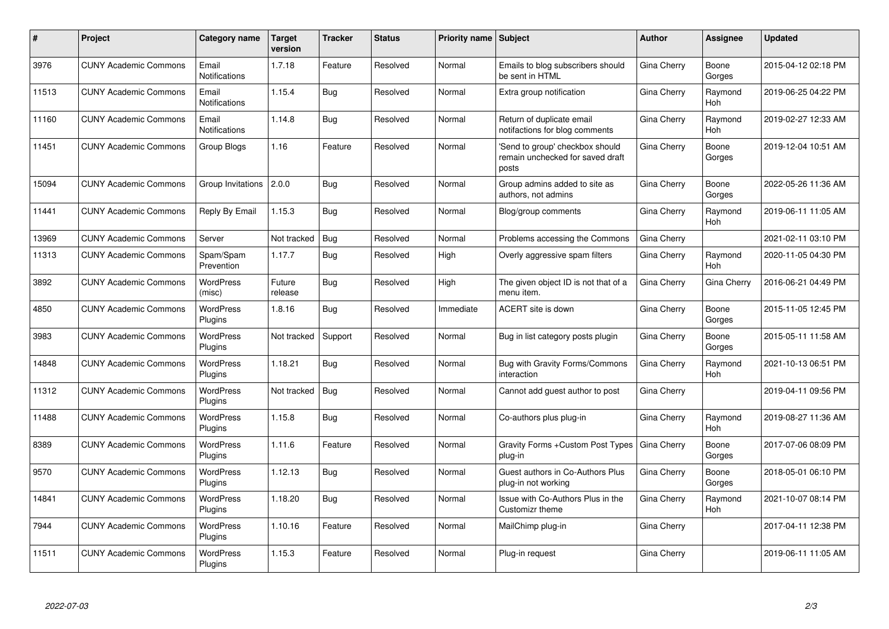| #     | Project                      | Category name                 | <b>Target</b><br>version | <b>Tracker</b> | <b>Status</b> | <b>Priority name Subject</b> |                                                                              | <b>Author</b> | Assignee              | <b>Updated</b>      |
|-------|------------------------------|-------------------------------|--------------------------|----------------|---------------|------------------------------|------------------------------------------------------------------------------|---------------|-----------------------|---------------------|
| 3976  | <b>CUNY Academic Commons</b> | Email<br><b>Notifications</b> | 1.7.18                   | Feature        | Resolved      | Normal                       | Emails to blog subscribers should<br>be sent in HTML                         | Gina Cherry   | Boone<br>Gorges       | 2015-04-12 02:18 PM |
| 11513 | <b>CUNY Academic Commons</b> | Email<br><b>Notifications</b> | 1.15.4                   | <b>Bug</b>     | Resolved      | Normal                       | Extra group notification                                                     | Gina Cherry   | Raymond<br><b>Hoh</b> | 2019-06-25 04:22 PM |
| 11160 | <b>CUNY Academic Commons</b> | Email<br>Notifications        | 1.14.8                   | Bug            | Resolved      | Normal                       | Return of duplicate email<br>notifactions for blog comments                  | Gina Cherry   | Raymond<br>Hoh        | 2019-02-27 12:33 AM |
| 11451 | <b>CUNY Academic Commons</b> | Group Blogs                   | 1.16                     | Feature        | Resolved      | Normal                       | 'Send to group' checkbox should<br>remain unchecked for saved draft<br>posts | Gina Cherry   | Boone<br>Gorges       | 2019-12-04 10:51 AM |
| 15094 | <b>CUNY Academic Commons</b> | Group Invitations             | 2.0.0                    | Bug            | Resolved      | Normal                       | Group admins added to site as<br>authors, not admins                         | Gina Cherry   | Boone<br>Gorges       | 2022-05-26 11:36 AM |
| 11441 | <b>CUNY Academic Commons</b> | Reply By Email                | 1.15.3                   | Bug            | Resolved      | Normal                       | Blog/group comments                                                          | Gina Cherry   | Raymond<br>Hoh        | 2019-06-11 11:05 AM |
| 13969 | <b>CUNY Academic Commons</b> | Server                        | Not tracked              | <b>Bug</b>     | Resolved      | Normal                       | Problems accessing the Commons                                               | Gina Cherry   |                       | 2021-02-11 03:10 PM |
| 11313 | <b>CUNY Academic Commons</b> | Spam/Spam<br>Prevention       | 1.17.7                   | <b>Bug</b>     | Resolved      | High                         | Overly aggressive spam filters                                               | Gina Cherry   | Raymond<br>Hoh        | 2020-11-05 04:30 PM |
| 3892  | <b>CUNY Academic Commons</b> | <b>WordPress</b><br>(misc)    | Future<br>release        | Bug            | Resolved      | High                         | The given object ID is not that of a<br>menu item.                           | Gina Cherry   | Gina Cherry           | 2016-06-21 04:49 PM |
| 4850  | <b>CUNY Academic Commons</b> | <b>WordPress</b><br>Plugins   | 1.8.16                   | Bug            | Resolved      | Immediate                    | ACERT site is down                                                           | Gina Cherry   | Boone<br>Gorges       | 2015-11-05 12:45 PM |
| 3983  | <b>CUNY Academic Commons</b> | <b>WordPress</b><br>Plugins   | Not tracked              | Support        | Resolved      | Normal                       | Bug in list category posts plugin                                            | Gina Cherry   | Boone<br>Gorges       | 2015-05-11 11:58 AM |
| 14848 | <b>CUNY Academic Commons</b> | <b>WordPress</b><br>Plugins   | 1.18.21                  | Bug            | Resolved      | Normal                       | Bug with Gravity Forms/Commons<br>interaction                                | Gina Cherry   | Raymond<br><b>Hoh</b> | 2021-10-13 06:51 PM |
| 11312 | <b>CUNY Academic Commons</b> | <b>WordPress</b><br>Plugins   | Not tracked              | <b>Bug</b>     | Resolved      | Normal                       | Cannot add guest author to post                                              | Gina Cherry   |                       | 2019-04-11 09:56 PM |
| 11488 | <b>CUNY Academic Commons</b> | <b>WordPress</b><br>Plugins   | 1.15.8                   | <b>Bug</b>     | Resolved      | Normal                       | Co-authors plus plug-in                                                      | Gina Cherry   | Raymond<br>Hoh        | 2019-08-27 11:36 AM |
| 8389  | <b>CUNY Academic Commons</b> | <b>WordPress</b><br>Plugins   | 1.11.6                   | Feature        | Resolved      | Normal                       | Gravity Forms + Custom Post Types<br>plug-in                                 | Gina Cherry   | Boone<br>Gorges       | 2017-07-06 08:09 PM |
| 9570  | <b>CUNY Academic Commons</b> | <b>WordPress</b><br>Plugins   | 1.12.13                  | Bug            | Resolved      | Normal                       | Guest authors in Co-Authors Plus<br>plug-in not working                      | Gina Cherry   | Boone<br>Gorges       | 2018-05-01 06:10 PM |
| 14841 | <b>CUNY Academic Commons</b> | <b>WordPress</b><br>Plugins   | 1.18.20                  | Bug            | Resolved      | Normal                       | Issue with Co-Authors Plus in the<br>Customizr theme                         | Gina Cherry   | Raymond<br>Hoh        | 2021-10-07 08:14 PM |
| 7944  | <b>CUNY Academic Commons</b> | <b>WordPress</b><br>Plugins   | 1.10.16                  | Feature        | Resolved      | Normal                       | MailChimp plug-in                                                            | Gina Cherry   |                       | 2017-04-11 12:38 PM |
| 11511 | <b>CUNY Academic Commons</b> | WordPress<br>Plugins          | 1.15.3                   | Feature        | Resolved      | Normal                       | Plug-in request                                                              | Gina Cherry   |                       | 2019-06-11 11:05 AM |